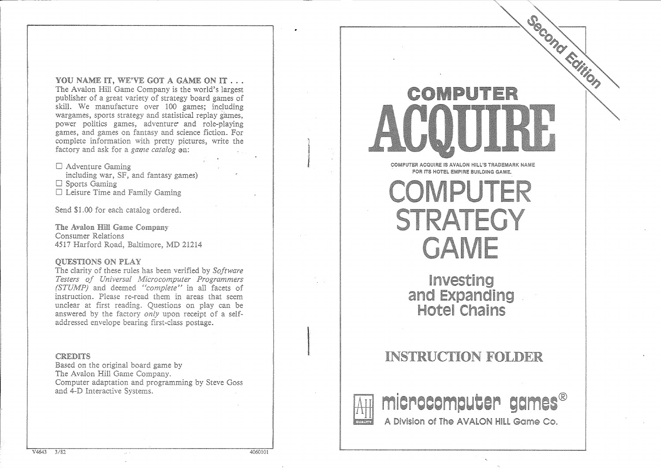YOU NAME IT. WE'VE GOT A GAME ON IT... The Avalon Hill Game Company is the world's largest publisher of a great variety of strategy board games of skill. We manufacture over 100 games; wargames, sports strategy and statistical replay games, power politics games, adventure and games, and games on fantasy and science fiction. For complete information with pretty pictures, write the factory and ask for a *game catalog* on:

 $\Box$  Adventure Gaming including war, SF, and fantasy games)  $\Box$  Sports Gaming  $\Box$  Leisure Time and Family Gaming

Send \$1.00 for each catalog ordered.

The Avalon Hill Game Company Consumer Relations 4517 Harford Road, Baltimore, MD 21214

#### **OUESTIONS ON PLAY**

The clarity of these rules has been verified by Software Testers of Universal Microcomputer Programmers (STUMP) and deemed "complete" in all facets of instruction. Please re-read them in areas that seem unclear at first reading. Questions on play can be answered by the factory *only* upon receipt of a selfaddressed envelope bearing first-class postage.

#### **CREDITS**

Based on the original board game by The Avalon Hill Game Company. Computer adaptation and programming by Steve Goss and 4-D Interactive Systems.

## Second Edition ER COMPIL

COMPUTER ACQUIRE IS AVALON HILL'S TRADEMARK NAME FOR ITS HOTEL EMPIRE BUILDING GAME.

**COMPUTER STRATEGY GAME** 

Investing and Expanding Hotel Chains

#### **INSTRUCTION FOLDER**



**International Control Control**<br>International Control Control Control Control Control Control Control Control Control Control Control Control Control Control Control Control Control Control Control Control Control Control

microcomputer games® A Division of The AVALON HILL Game Co.

4060101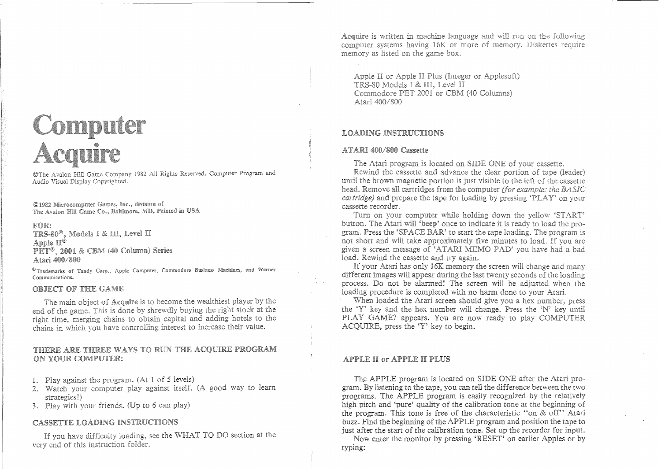## **Computer<br>Acquire**

©The Avalon Hill Game Company 1982 All Rights Reserved. Computer Program and Audio Visual Display Copyrighted.

©1982 Microcomputer Games, Inc., division of The Avalon Hill Game Co., Baltimore, MD, Printed in USA

#### FOR:

TRS-80<sup>®</sup>, Models I & III, Level II Apple  $\Pi^\circledast$ PET<sup>®</sup>, 2001 & CBM (40 Column) Series Atari 400/800

<sup>®</sup> Trademarks of Tandy Corp., Apple Computer, Commodore Business Machines, and Warner Communications.

#### **OBJECT OF THE GAME**

The main object of Acquire is to become the wealthiest player by the end of the game. This is done by shrewdly buying the right stock at the right time, merging chains to obtain capital and adding hotels to the chains in which you have controlling interest to increase their value.

#### THERE ARE THREE WAYS TO RUN THE ACQUIRE PROGRAM ON YOUR COMPUTER:

- 1. Play against the program. (At 1 of 5 levels)
- 2. Watch your computer play against itself. (A good way to learn strategies!)
- 3. Play with your friends. (Up to 6 can play)

#### **CASSETTE LOADING INSTRUCTIONS**

If you have difficulty loading, see the WHAT TO DO section at the very end of this instruction folder.

Acquire is written in machine language and will run on the following computer systems having 16K or more of memory. Diskettes require memory as listed on the game box.

Apple II or Apple II Plus (Integer or Applesoft) TRS-80 Models I & III, Level II Commodore PET 2001 or CBM (40 Columns) Atari 400/800

#### **LOADING INSTRUCTIONS**

#### ATARI 400/800 Cassette

The Atari program is located on SIDE ONE of your cassette.

Rewind the cassette and advance the clear portion of tape (leader) until the brown magnetic portion is just visible to the left of the cassette head. Remove all cartridges from the computer *(for example: the BASIC cartridge*) and prepare the tape for loading by pressing 'PLAY' on your cassette recorder.

Turn on your computer while holding down the yellow 'START' button. The Atari will 'beep' once to indicate it is ready to load the program. Press the 'SPACE BAR' to start the tape loading. The program is not short and will take approximately five minutes to load. If you are given a screen message of 'ATARI MEMO PAD' you have had a bad load. Rewind the cassette and try again.

If your Atari has only 16K memory the screen will change and many different images will appear during the last twenty seconds of the loading process. Do not be alarmed! The screen will be adjusted when the loading procedure is completed with no harm done to your Atari.

When loaded the Atari screen should give you a hex number, press the 'Y' key and the hex number will change. Press the 'N' key until PLAY GAME? appears. You are now ready to play COMPUTER ACQUIRE, press the 'Y' key to begin.

#### **APPLE II or APPLE II PLUS**

The APPLE program is located on SIDE ONE after the Atari program. By listening to the tape, you can tell the difference between the two programs. The APPLE program is easily recognized by the relatively high pitch and 'pure' quality of the calibration tone at the beginning of the program. This tone is free of the characteristic "on & off" Atari buzz. Find the beginning of the APPLE program and position the tape to just after the start of the calibration tone. Set up the recorder for input.

Now enter the monitor by pressing 'RESET' on earlier Apples or by typing: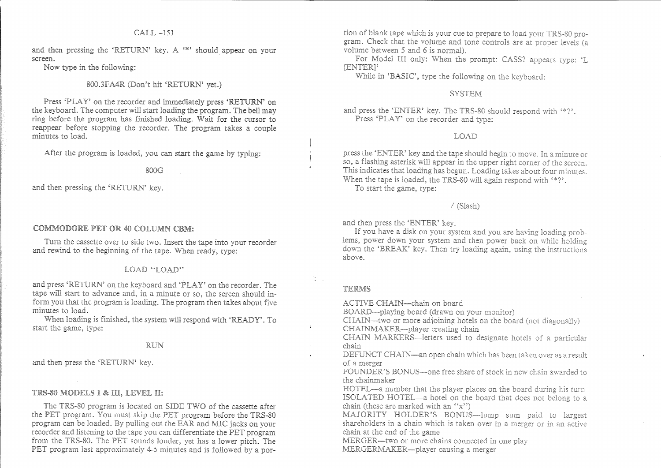#### $CAI.J. -151$

and then pressing the 'RETURN' key. A "\*' should appear on your screen.

Now type in the following:

#### 800.3FA4R (Don't hit 'RETURN' yet.)

Press 'PLAY' on the recorder and immediately press 'RETURN' on the keyboard. The computer will start loading the program. The bell may ring before the program has finished loading. Wait for the cursor to reappear before stopping the recorder. The program takes a couple minutes to load.

After the program is loaded, you can start the game by typing:

#### 800G

and then pressing the 'RETURN' key.

#### **COMMODORE PET OR 40 COLUMN CBM:**

Turn the cassette over to side two. Insert the tape into your recorder and rewind to the beginning of the tape. When ready, type:

#### LOAD "LOAD"

and press 'RETURN' on the keyboard and 'PLAY' on the recorder. The tape will start to advance and, in a minute or so, the screen should inform you that the program is loading. The program then takes about five minutes to load.

When loading is finished, the system will respond with 'READY'. To start the game, type:

#### **RUN**

and then press the 'RETURN' key.

#### TRS-80 MODELS I & III, LEVEL II:

The TRS-80 program is located on SIDE TWO of the cassette after the PET program. You must skip the PET program before the TRS-80 program can be loaded. By pulling out the EAR and MIC jacks on your recorder and listening to the tape you can differentiate the PET program from the TRS-80. The PET sounds louder, yet has a lower pitch. The PET program last approximately 4-5 minutes and is followed by a por-

tion of blank tape which is your cue to prepare to load your TRS-80 program. Check that the volume and tone controls are at proper levels (a volume between 5 and 6 is normal).

For Model III only: When the prompt: CASS? appears type: 'L [ENTER]'

While in 'BASIC', type the following on the keyboard:

#### **SYSTEM**

and press the 'ENTER' key. The TRS-80 should respond with '\*?'. Press 'PLAY' on the recorder and type:

#### LOAD

press the 'ENTER' key and the tape should begin to move. In a minute or so, a flashing asterisk will appear in the upper right corner of the screen. This indicates that loading has begun. Loading takes about four minutes. When the tape is loaded, the TRS-80 will again respond with "\*?'.

To start the game, type:

#### / (Slash)

and then press the 'ENTER' kev.

If you have a disk on your system and you are having loading problems, power down your system and then power back on while holding down the 'BREAK' key. Then try loading again, using the instructions above.

#### TERMS

ACTIVE CHAIN-chain on board

BOARD-playing board (drawn on your monitor)

CHAIN—two or more adjoining hotels on the board (not diagonally) CHAINMAKER-player creating chain

CHAIN MARKERS-letters used to designate hotels of a particular chain

DEFUNCT CHAIN—an open chain which has been taken over as a result of a merger

FOUNDER'S BONUS—one free share of stock in new chain awarded to the chainmaker

HOTEL-a number that the player places on the board during his turn ISOLATED HOTEL-a hotel on the board that does not belong to a chain (these are marked with an "x")

MAJORITY HOLDER'S BONUS-lump sum paid to largest shareholders in a chain which is taken over in a merger or in an active chain at the end of the game

MERGER—two or more chains connected in one play MERGERMAKER-player causing a merger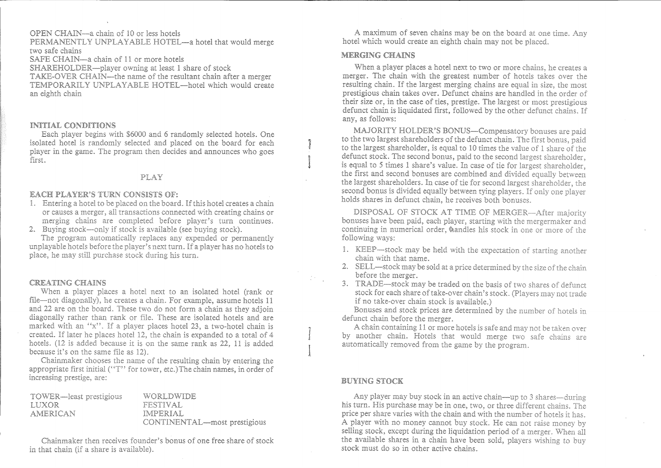#### OPEN CHAIN-a chain of 10 or less hotels

PERMANENTLY UNPLAYABLE HOTEL—a hotel that would merge two safe chains

SAFE CHAIN—a chain of 11 or more hotels SHAREHOLDER—player owning at least 1 share of stock

TAKE-OVER CHAIN—the name of the resultant chain after a merger TEMPORARILY UNPLAYABLE HOTEL—hotel which would create an eighth chain

#### INITIAL CONDITIONS

Each player begins with \$6000 and 6 randomly selected hotels. One isolated hotel is randomly selected and placed on the board for each player in the game. The program then decides and announces who goes first.

#### PLAY

#### **EACH PLAYER'S TURN CONSISTS OF:**

- 1. Entering a hotel to be placed on the board. If this hotel creates a chain or causes a merger, all transactions connected with creating chains or merging chains are completed before player's turn continues.
- 2. Buying stock—only if stock is available (see buying stock).

The program automatically replaces any expended or permanently unplayable hotels before the player<sup>5</sup> snext turn. If a player has no hotels to place, he may still purchase stock during his turn.

#### **CREATING CHAINS**

When a player places a hotel next to an isolated hotel (rank or file—not diagonally), he creates a chain. For example, assume hotels 11 and 22 are on the board. These two do not form a chain as they adjoin diagonally rather than rank or file. These are isolated hotels and are marked with an "x". If a player places hotel 23, a two-hotel chain is created. If later he places hotel 12, the chain is expanded to a total of 4 hotels. (12 is added because it is on the same rank as 22, 11 is added because it's on the same file as 12).

Chainmaker chooses the name of the resulting chain by entering the appropriate first initial ("T" for tower, etc.) The chain names, in order of increasing prestige, are:

| TOWER—least prestigious | <i><b>WORLDWIDE</b></i>      |
|-------------------------|------------------------------|
| LUXOR.                  | FESTIVAL.                    |
| <b>AMERICAN</b>         | IMPERIAL                     |
|                         | CONTINENTAL—most prestigious |

Chainmaker then receives founder's bonus of one free share of stock in that chain (if a share is available).

A maximum of seven chains may be on the board at one time. Any hotel which would create an eighth chain may not be placed.

#### MERGING CHAINS

When a player places a hotel next to two or more chains, he creates a merger. The chain with the greatest number of hotels takes over the resulting chain. If the largest merging chains are equal in size, the most prestigious chain takes over. Defunct chains are handled in the order of their size or, in the case of ties, prestige. The largest or most prestigious defunct chain is liquidated first, followed by the other defunct chains. If any, as follows:

MAJORITY HOLDER'S BONUS-Compensatory bonuses are paid to the two largest shareholders of the defunct chain. The first bonus, paid to the largest shareholder, is equal to 10 times the value of 1 share of the defunct stock. The second bonus, paid to the second largest shareholder, is equal to 5 times 1 share's value. In case of tie for largest shareholder. the first and second bonuses are combined and divided equally between the largest shareholders. In case of tie for second largest shareholder, the second bonus is divided equally between tying players. If only one player holds shares in defunct chain, he receives both bonuses.

DISPOSAL OF STOCK AT TIME OF MERGER-After majority bonuses have been paid, each player, starting with the mergermaker and continuing in numerical order, wandles his stock in one or more of the following ways:

- 1. KEEP—stock may be held with the expectation of starting another chain with that name.
- 2. SELL—stock may be sold at a price determined by the size of the chain before the merger.
- 3. TRADE—stock may be traded on the basis of two shares of defunct stock for each share of take-over chain's stock. (Players may not trade if no take-over chain stock is available.)

Bonuses and stock prices are determined by the number of hotels in defunct chain before the merger.

A chain containing 11 or more hotels is safe and may not be taken over by another chain. Hotels that would merge two safe chains are automatically removed from the game by the program.

#### **BUYING STOCK**

Any player may buy stock in an active chain—up to 3 shares—during his turn. His purchase may be in one, two, or three different chains. The price per share varies with the chain and with the number of hotels it has. A player with no money cannot buy stock. He can not raise money by selling stock, except during the liquidation period of a merger. When all the available shares in a chain have been sold, players wishing to buy stock must do so in other active chains.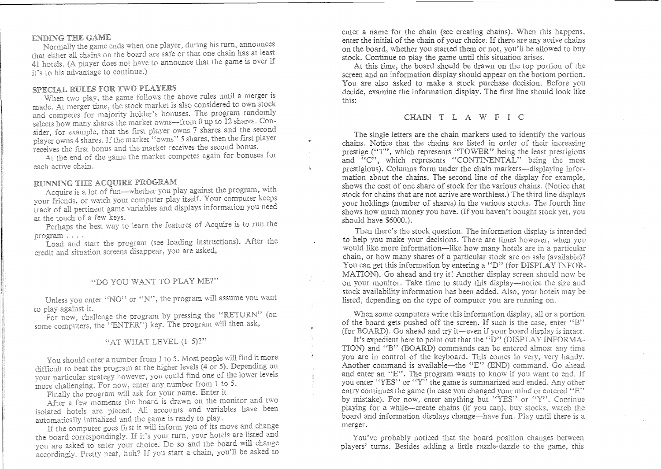#### **ENDING THE GAME**

Normally the game ends when one player, during his turn, announces that either all chains on the board are safe or that one chain has at least 41 hotels. (A player does not have to announce that the game is over if it's to his advantage to continue.)

#### **SPECIAL RULES FOR TWO PLAYERS**

When two play, the game follows the above rules until a merger is made. At merger time, the stock market is also considered to own stock and competes for majority holder's bonuses. The program randomly selects how many shares the market owns—from 0 up to 12 shares. Consider, for example, that the first player owns 7 shares and the second player owns 4 shares. If the market "owns" 5 shares, then the first player receives the first bonus and the market receives the second bonus.

At the end of the game the market competes again for bonuses for each active chain.

#### RUNNING THE ACQUIRE PROGRAM

Acquire is a lot of fun—whether you play against the program, with your friends, or watch your computer play itself. Your computer keeps track of all pertinent game variables and displays information you need at the touch of a few keys.

Perhaps the best way to learn the features of Acquire is to run the  $\mathop{\mathrm{program}}\ldots$ .

Load and start the program (see loading instructions). After the credit and situation screens disappear, you are asked,

#### "DO YOU WANT TO PLAY ME?"

Unless you enter "NO" or "N", the program will assume you want to play against it.

For now, challenge the program by pressing the "RETURN" (on some computers, the "ENTER") key. The program will then ask,

#### "AT WHAT LEVEL  $(1-5)$ ?"

You should enter a number from 1 to 5. Most people will find it more difficult to beat the program at the higher levels  $(4 \text{ or } 5)$ . Depending on your particular strategy however, you could find one of the lower levels more challenging. For now, enter any number from 1 to 5.

Finally the program will ask for your name. Enter it.

After a few moments the board is drawn on the monitor and two isolated hotels are placed. All accounts and variables have been automatically initialized and the game is ready to play.

If the computer goes first it will inform you of its move and change the board correspondingly. If it's your turn, your hotels are listed and you are asked to enter your choice. Do so and the board will change accordingly. Pretty neat, huh? If you start a chain, you'll be asked to

enter a name for the chain (see creating chains). When enter the initial of the chain of your choice. If there are any active chains on the board, whether you started them or not, you'll be allowed to buy stock. Continue to play the game until this situation arises.

this: At this time, the board should be drawn on the top portion of the screen and an information display should appear on the bottom portion. You are also asked to make a stock purchase decision. Before you decide, examine the information display. The first line should look like

CHAIN <sup>T</sup> LAW F I C

The single letters are the chain markers used to identify the various chains. Notice that the chains are listed in order of their increasing prestige ("T", which represents "TOWER" being the least prestigious and "C", which represents "CONTINENTAL" being the most prestigious). Columns form under the chain markers--displaying information about the chains. The second line of the display for example, shows the cost of one share of stock for the various chains. (Notice that stock for chains that are not active are worthless.) The third line displays your holdings (number of shares) in the various stocks. The fourth line shows how much money you have. (If you haven't bought stock yet, you should have \$6000.).

Then there's the stock question. The information display is intended to help you make your decisions. There are times however, when you would like more information—like how many hotels are in a particular chain, or how many shares of a particular stock are on sale (available)? You can get this information by entering a "D" (for DISPLAY INFOR-MATION). Go ahead and try it! Another display screen should now be on your monitor. Take time to study this display—notice the size and stock availability information has been added. Also, your hotels may be listed, depending on the type of computer you are running on.

When some computers write this information display, all or a portion of the board gets pushed off the screen. If such is the case, enter "B" (for BOARD). Go ahead and try it—even if your board display is intact.

It's expedient here to point out that the "D" (DISPLAY INFORMA-TION) and "B" (BOARD) commands can be entered almost any time you are in control of the keyboard. This comes in very, very handy. Another command is available—the "E" (END) command. Go ahead and enter an "E". The program wants to know if you want to end. If you enter "YES" or "Y" the game is summarized and ended. Any other entry continues the game (in case you changed your mind or entered "E" by mistake). For now, enter anything but "YES" or "Y". Continue playing for a while-create chains board and information displays change—have fun. Play until there is a merger.

You've probably noticed that the board position changes between players' turns. Besides adding a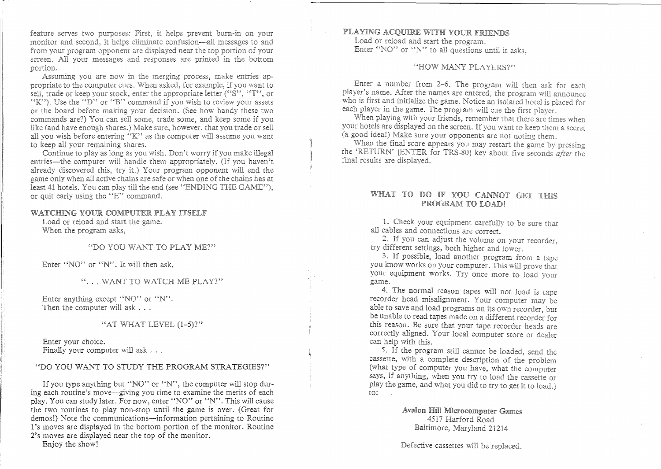feature serves two purposes: First, it helps prevent burn-in on your monitor and second, it helps eliminate confusion—all messages to and from your program opponent are displayed near the top portion of your screen. All your messages and responses are printed in the bottom portion.

Assuming you are now in the merging process, make entries appropriate to the computer cues. When asked, for example, if you want to sell, trade or keep your stock, enter the appropriate letter ("S", "T", or "K"'). Use the " $\bar{D}$ " or "B" command if you wish to review your assets or the board before making your decision. (See how handy these two commands are?) You can sell some, trade some, and keep some if you like (and have enough shares.) Make sure, however, that you trade or sell all you wish before entering "K" as the computer will assume you want to keep all your remaining shares.

Continue to play as long as you wish. Don't worry if you make illegal entries—the computer will handle them appropriately. (If you haven't already discovered this, try it.) Your program opponent will end the game only when all active chains are safe or when one of the chains has at least 41 hotels. You can play till the end (see "ENDING THE GAME"), or quit early using the  $\mathbf{F}$ . command.

#### WATCHING YOUR COMPUTER PLAY ITSELF

Load or reload and start the game. When the program asks,

YOU WANT TO PLAY ME?"

Enter "NO" or "N". It

"... WANT TO WATCH ME PLAY?"

Enter anything except "NO" or "N". Then the computer will ask  $\dots$ 

#### "AT WHAT LEVEL  $(1-5)$ ?"

Enter your choice. Finally your computer will ask  $\ldots$ 

#### "DO YOU WANT TO STUDY THE PROGRAM STRATEGIES?"

If you type anything but "NO" or "N", the computer will stop during each routine's move—giving you time to examine the merits of each play. You can study later. For now, enter "NO" or "N". This will cause the two routines to play non-stop until the game is over. (Great for demos!) Note the communications—information pertaining to Routine 1's moves are displayed in the bottom portion of the monitor. Routine 2's moves are displayed near the top of the monitor.

Enjoy the show!

#### PLAYING ACQUIRE WITH YOUR FRIENDS Load or reload and start the program. Enter "NO" or "N" to all questions until it asks.

#### "HOW MANY PLAYERS?"

Enter a number from 2-6. The program will then ask for each player's name. After the names are entered, the program will announce who is first and initialize the game. Notice an isolated hotel is placed for each player in the game. The program will cue the first player.

When playing with your friends, remember that there are times when your hotels are displayed on the screen. If you want to keep them a secret (a good idea!) Make sure your opponents are not noting them.

When the final score appears you may restart the game by pressing the 'RETURN' [ENTER for TRS-80] key about five seconds *after* the final results are displayed.

#### WHAT TO DO IF YOU CANNOT GET THIS PROGRAM TO LOAD!

1. Check your equipment carefully to be sure that all cables and connections are correct.

2. If you can adjust the volume on your recorder, try different settings, both higher and lower.

3. If possible, load another program from a tape you know works on your computer. This will prove that your equipment works. Try once more to load your game.

4. The normal reason tapes will not load is tape recorder head misalignment. Your computer may be able to save and load programs on its own recorder, but be unable to read tapes made on a different recorder for this reason. Be sure that your tape recorder heads are correctly aligned. Your local computer store or dealer can help with this.

to: 5. If the program still cannot be loaded, send the cassette, with a complete description of the problem (what type of computer you have, what the computer says, if anything, when you try to load the cassette or play the game, and what you did to try to get it to load.)

#### Avalon Hill Microcomputer Games 4517 Harford Road<br>Baltimore, Maryland 21214

Defective cassettes will be replaced.